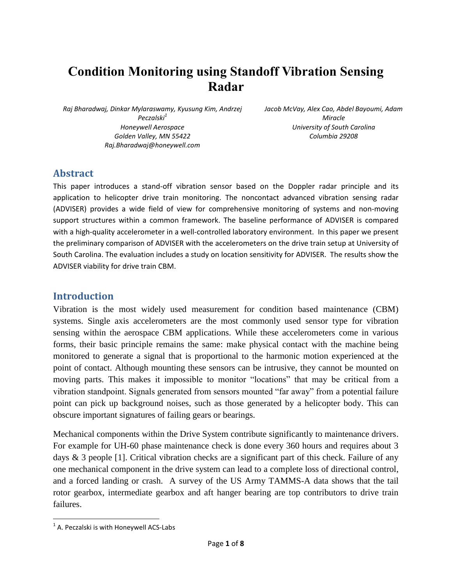# **Condition Monitoring using Standoff Vibration Sensing Radar**

*Raj Bharadwaj, Dinkar Mylaraswamy, Kyusung Kim, Andrzej Peczalski<sup>1</sup> Honeywell Aerospace Golden Valley, MN 55422 Raj.Bharadwaj@honeywell.com*

*Jacob McVay, Alex Cao, Abdel Bayoumi, Adam Miracle University of South Carolina Columbia 29208*

### **Abstract**

This paper introduces a stand-off vibration sensor based on the Doppler radar principle and its application to helicopter drive train monitoring. The noncontact advanced vibration sensing radar (ADVISER) provides a wide field of view for comprehensive monitoring of systems and non-moving support structures within a common framework. The baseline performance of ADVISER is compared with a high-quality accelerometer in a well-controlled laboratory environment. In this paper we present the preliminary comparison of ADVISER with the accelerometers on the drive train setup at University of South Carolina. The evaluation includes a study on location sensitivity for ADVISER. The results show the ADVISER viability for drive train CBM.

#### **Introduction**

Vibration is the most widely used measurement for condition based maintenance (CBM) systems. Single axis accelerometers are the most commonly used sensor type for vibration sensing within the aerospace CBM applications. While these accelerometers come in various forms, their basic principle remains the same: make physical contact with the machine being monitored to generate a signal that is proportional to the harmonic motion experienced at the point of contact. Although mounting these sensors can be intrusive, they cannot be mounted on moving parts. This makes it impossible to monitor "locations" that may be critical from a vibration standpoint. Signals generated from sensors mounted "far away" from a potential failure point can pick up background noises, such as those generated by a helicopter body. This can obscure important signatures of failing gears or bearings.

Mechanical components within the Drive System contribute significantly to maintenance drivers. For example for UH-60 phase maintenance check is done every 360 hours and requires about 3 days & 3 people [1]. Critical vibration checks are a significant part of this check. Failure of any one mechanical component in the drive system can lead to a complete loss of directional control, and a forced landing or crash. A survey of the US Army TAMMS-A data shows that the tail rotor gearbox, intermediate gearbox and aft hanger bearing are top contributors to drive train failures.

 $\overline{\phantom{a}}$  $<sup>1</sup>$  A. Peczalski is with Honeywell ACS-Labs</sup>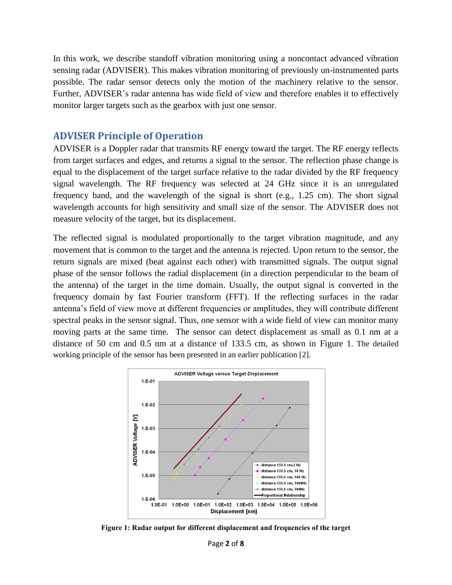In this work, we describe standoff vibration monitoring using a noncontact advanced vibration sensing radar (ADVISER). This makes vibration monitoring of previously un-instrumented parts possible. The radar sensor detects only the motion of the machinery relative to the sensor. Further, ADVISER's radar antenna has wide field of view and therefore enables it to effectively monitor larger targets such as the gearbox with just one sensor.

#### **ADVISER Principle of Operation**

ADVISER is a Doppler radar that transmits RF energy toward the target. The RF energy reflects from target surfaces and edges, and returns a signal to the sensor. The reflection phase change is equal to the displacement of the target surface relative to the radar divided by the RF frequency signal wavelength. The RF frequency was selected at 24 GHz since it is an unregulated frequency band, and the wavelength of the signal is short (e.g., 1.25 cm). The short signal wavelength accounts for high sensitivity and small size of the sensor. The ADVISER does not measure velocity of the target, but its displacement.

The reflected signal is modulated proportionally to the target vibration magnitude, and any movement that is common to the target and the antenna is rejected. Upon return to the sensor, the return signals are mixed (beat against each other) with transmitted signals. The output signal phase of the sensor follows the radial displacement (in a direction perpendicular to the beam of the antenna) of the target in the time domain. Usually, the output signal is converted in the frequency domain by fast Fourier transform (FFT). If the reflecting surfaces in the radar antenna's field of view move at different frequencies or amplitudes, they will contribute different spectral peaks in the sensor signal. Thus, one sensor with a wide field of view can monitor many moving parts at the same time. The sensor can detect displacement as small as 0.1 nm at a distance of 50 cm and 0.5 nm at a distance of 133.5 cm, as shown in [Figure 1](#page-1-0). The detailed working principle of the sensor has been presented in an earlier publication [2].



<span id="page-1-0"></span>**Figure 1: Radar output for different displacement and frequencies of the target**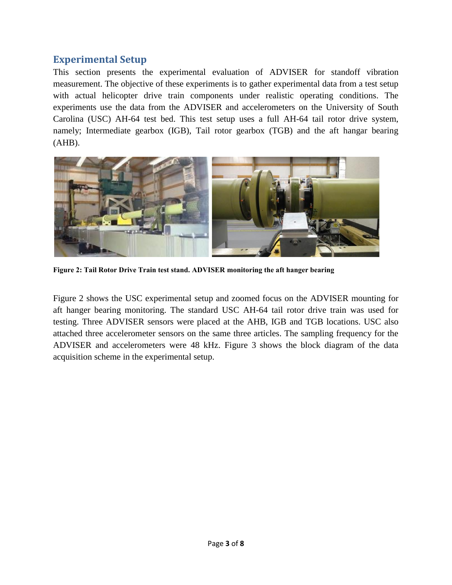### **Experimental Setup**

This section presents the experimental evaluation of ADVISER for standoff vibration measurement. The objective of these experiments is to gather experimental data from a test setup with actual helicopter drive train components under realistic operating conditions. The experiments use the data from the ADVISER and accelerometers on the University of South Carolina (USC) AH-64 test bed. This test setup uses a full AH-64 tail rotor drive system, namely; Intermediate gearbox (IGB), Tail rotor gearbox (TGB) and the aft hangar bearing  $(AHB)$ .



**Figure 2: Tail Rotor Drive Train test stand. ADVISER monitoring the aft hanger bearing**

<span id="page-2-0"></span>[Figure 2](#page-2-0) shows the USC experimental setup and zoomed focus on the ADVISER mounting for aft hanger bearing monitoring. The standard USC AH-64 tail rotor drive train was used for testing. Three ADVISER sensors were placed at the AHB, IGB and TGB locations. USC also attached three accelerometer sensors on the same three articles. The sampling frequency for the ADVISER and accelerometers were 48 kHz. [Figure 3](#page-3-0) shows the block diagram of the data acquisition scheme in the experimental setup.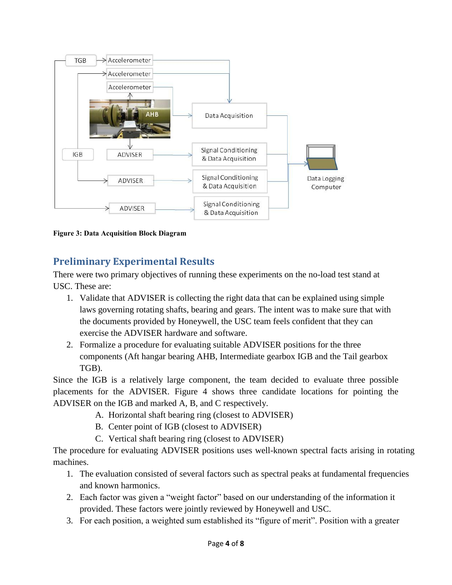

<span id="page-3-0"></span>**Figure 3: Data Acquisition Block Diagram**

## **Preliminary Experimental Results**

There were two primary objectives of running these experiments on the no-load test stand at USC. These are:

- 1. Validate that ADVISER is collecting the right data that can be explained using simple laws governing rotating shafts, bearing and gears. The intent was to make sure that with the documents provided by Honeywell, the USC team feels confident that they can exercise the ADVISER hardware and software.
- 2. Formalize a procedure for evaluating suitable ADVISER positions for the three components (Aft hangar bearing AHB, Intermediate gearbox IGB and the Tail gearbox TGB).

Since the IGB is a relatively large component, the team decided to evaluate three possible placements for the ADVISER. [Figure 4](#page-4-0) shows three candidate locations for pointing the ADVISER on the IGB and marked A, B, and C respectively.

- A. Horizontal shaft bearing ring (closest to ADVISER)
- B. Center point of IGB (closest to ADVISER)
- C. Vertical shaft bearing ring (closest to ADVISER)

The procedure for evaluating ADVISER positions uses well-known spectral facts arising in rotating machines.

- 1. The evaluation consisted of several factors such as spectral peaks at fundamental frequencies and known harmonics.
- 2. Each factor was given a "weight factor" based on our understanding of the information it provided. These factors were jointly reviewed by Honeywell and USC.
- 3. For each position, a weighted sum established its "figure of merit". Position with a greater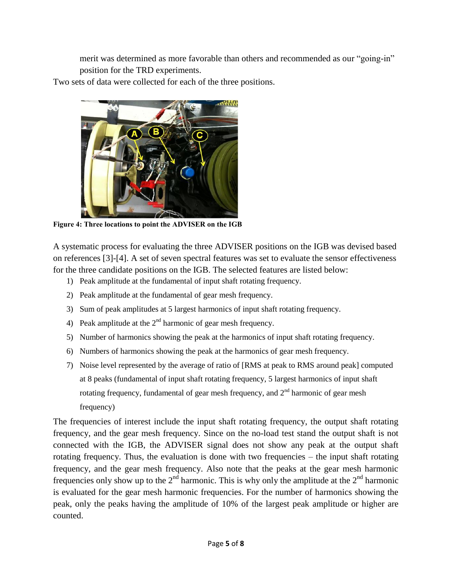merit was determined as more favorable than others and recommended as our "going-in" position for the TRD experiments.

Two sets of data were collected for each of the three positions.



**Figure 4: Three locations to point the ADVISER on the IGB**

<span id="page-4-0"></span>A systematic process for evaluating the three ADVISER positions on the IGB was devised based on references [3]-[4]. A set of seven spectral features was set to evaluate the sensor effectiveness for the three candidate positions on the IGB. The selected features are listed below:

- 1) Peak amplitude at the fundamental of input shaft rotating frequency.
- 2) Peak amplitude at the fundamental of gear mesh frequency.
- 3) Sum of peak amplitudes at 5 largest harmonics of input shaft rotating frequency.
- 4) Peak amplitude at the  $2<sup>nd</sup>$  harmonic of gear mesh frequency.
- 5) Number of harmonics showing the peak at the harmonics of input shaft rotating frequency.
- 6) Numbers of harmonics showing the peak at the harmonics of gear mesh frequency.
- 7) Noise level represented by the average of ratio of [RMS at peak to RMS around peak] computed at 8 peaks (fundamental of input shaft rotating frequency, 5 largest harmonics of input shaft rotating frequency, fundamental of gear mesh frequency, and  $2<sup>nd</sup>$  harmonic of gear mesh frequency)

The frequencies of interest include the input shaft rotating frequency, the output shaft rotating frequency, and the gear mesh frequency. Since on the no-load test stand the output shaft is not connected with the IGB, the ADVISER signal does not show any peak at the output shaft rotating frequency. Thus, the evaluation is done with two frequencies – the input shaft rotating frequency, and the gear mesh frequency. Also note that the peaks at the gear mesh harmonic frequencies only show up to the  $2<sup>nd</sup>$  harmonic. This is why only the amplitude at the  $2<sup>nd</sup>$  harmonic is evaluated for the gear mesh harmonic frequencies. For the number of harmonics showing the peak, only the peaks having the amplitude of 10% of the largest peak amplitude or higher are counted.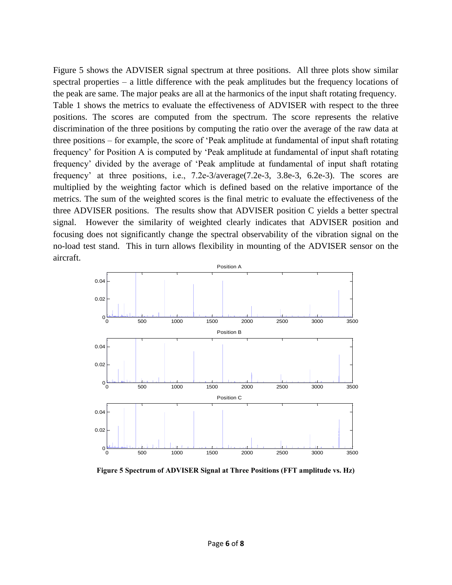[Figure 5](#page-5-0) shows the ADVISER signal spectrum at three positions. All three plots show similar spectral properties – a little difference with the peak amplitudes but the frequency locations of the peak are same. The major peaks are all at the harmonics of the input shaft rotating frequency. [Table 1](#page-6-0) shows the metrics to evaluate the effectiveness of ADVISER with respect to the three positions. The scores are computed from the spectrum. The score represents the relative discrimination of the three positions by computing the ratio over the average of the raw data at three positions – for example, the score of 'Peak amplitude at fundamental of input shaft rotating frequency' for Position A is computed by 'Peak amplitude at fundamental of input shaft rotating frequency' divided by the average of 'Peak amplitude at fundamental of input shaft rotating frequency' at three positions, i.e., 7.2e-3/average(7.2e-3, 3.8e-3, 6.2e-3). The scores are multiplied by the weighting factor which is defined based on the relative importance of the metrics. The sum of the weighted scores is the final metric to evaluate the effectiveness of the three ADVISER positions. The results show that ADVISER position C yields a better spectral signal. However the similarity of weighted clearly indicates that ADVISER position and focusing does not significantly change the spectral observability of the vibration signal on the no-load test stand. This in turn allows flexibility in mounting of the ADVISER sensor on the aircraft.



<span id="page-5-0"></span>**Figure 5 Spectrum of ADVISER Signal at Three Positions (FFT amplitude vs. Hz)**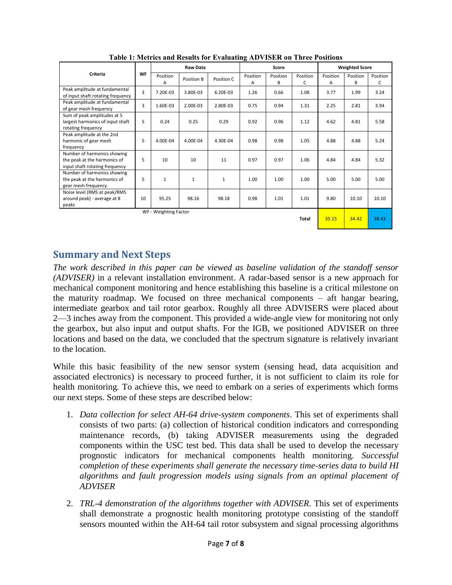<span id="page-6-0"></span>

| Criteria                                                                                      | <b>WF</b> | <b>Raw Data</b> |              |              | Score         |               |               | <b>Weighted Score</b> |               |               |
|-----------------------------------------------------------------------------------------------|-----------|-----------------|--------------|--------------|---------------|---------------|---------------|-----------------------|---------------|---------------|
|                                                                                               |           | Position<br>A   | Position B   | Position C   | Position<br>А | Position<br>B | Position<br>C | Position<br>A         | Position<br>B | Position<br>c |
| Peak amplitude at fundamental<br>of input shaft rotating frequency                            | 3         | 7.20E-03        | 3.80E-03     | 6.20E-03     | 1.26          | 0.66          | 1.08          | 3.77                  | 1.99          | 3.24          |
| Peak amplitude at fundamental<br>of gear mesh frequency                                       | 3         | 1.60E-03        | 2.00E-03     | 2.80E-03     | 0.75          | 0.94          | 1.31          | 2.25                  | 2.81          | 3.94          |
| Sum of peak amplitudes at 5<br>largest harmonics of input shaft<br>rotating frequency         | 5         | 0.24            | 0.25         | 0.29         | 0.92          | 0.96          | 1.12          | 4.62                  | 4.81          | 5.58          |
| Peak amplitude at the 2nd<br>harmonic of gear mesh<br>frequency                               | 5         | 4.00E-04        | 4.00E-04     | 4.30E-04     | 0.98          | 0.98          | 1.05          | 4.88                  | 4.88          | 5.24          |
| Number of harmonics showing<br>the peak at the harmonics of<br>input shaft rotating frequency | 5         | 10              | 10           | 11           | 0.97          | 0.97          | 1.06          | 4.84                  | 4.84          | 5.32          |
| Number of harmonics showing<br>the peak at the harmonics of<br>gear mesh frequency            | 5         | $\mathbf{1}$    | $\mathbf{1}$ | $\mathbf{1}$ | 1.00          | 1.00          | 1.00          | 5.00                  | 5.00          | 5.00          |
| Noise level (RMS at peak/RMS<br>around peak) - average at 8<br>peaks                          | 10        | 95.25           | 98.16        | 98.18        | 0.98          | 1.01          | 1.01          | 9.80                  | 10.10         | 10.10         |
| WF - Weighting Factor<br>Total                                                                |           |                 |              |              |               |               |               | 35.15                 | 34.42         | 38.43         |

**Table 1: Metrics and Results for Evaluating ADVISER on Three Positions**

### **Summary and Next Steps**

*The work described in this paper can be viewed as baseline validation of the standoff sensor (ADVISER)* in a relevant installation environment. A radar-based sensor is a new approach for mechanical component monitoring and hence establishing this baseline is a critical milestone on the maturity roadmap. We focused on three mechanical components – aft hangar bearing, intermediate gearbox and tail rotor gearbox. Roughly all three ADVISERS were placed about 2—3 inches away from the component. This provided a wide-angle view for monitoring not only the gearbox, but also input and output shafts. For the IGB, we positioned ADVISER on three locations and based on the data, we concluded that the spectrum signature is relatively invariant to the location.

While this basic feasibility of the new sensor system (sensing head, data acquisition and associated electronics) is necessary to proceed further, it is not sufficient to claim its role for health monitoring. To achieve this, we need to embark on a series of experiments which forms our next steps. Some of these steps are described below:

- 1. *Data collection for select AH-64 drive-system components*. This set of experiments shall consists of two parts: (a) collection of historical condition indicators and corresponding maintenance records, (b) taking ADVISER measurements using the degraded components within the USC test bed. This data shall be used to develop the necessary prognostic indicators for mechanical components health monitoring. *Successful completion of these experiments shall generate the necessary time-series data to build HI algorithms and fault progression models using signals from an optimal placement of ADVISER*
- 2. *TRL-4 demonstration of the algorithms together with ADVISER*. This set of experiments shall demonstrate a prognostic health monitoring prototype consisting of the standoff sensors mounted within the AH-64 tail rotor subsystem and signal processing algorithms